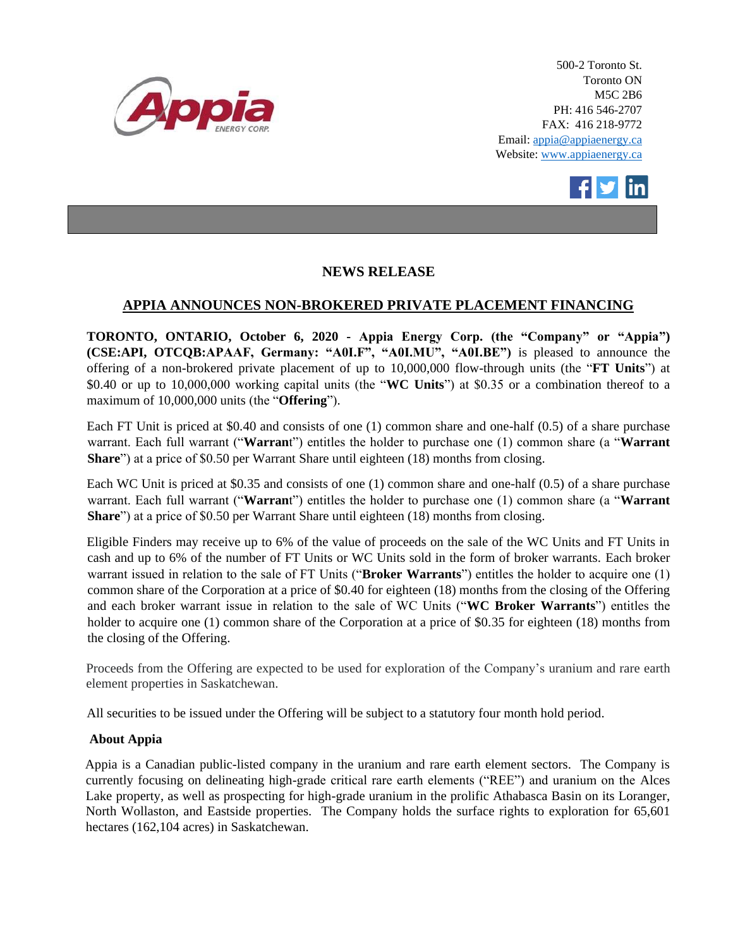

500-2 Toronto St. Toronto ON M5C 2B6 PH: 416 546-2707 FAX: 416 218-9772 Email: appia@appiaenergy.ca Website: www.appiaenergy.ca



## **NEWS RELEASE**

## **APPIA ANNOUNCES NON-BROKERED PRIVATE PLACEMENT FINANCING**

**TORONTO, ONTARIO, October 6, 2020 - Appia Energy Corp. (the "Company" or "Appia") (CSE:API, OTCQB:APAAF, Germany: "A0I.F", "A0I.MU", "A0I.BE")** is pleased to announce the offering of a non-brokered private placement of up to 10,000,000 flow-through units (the "**FT Units**") at \$0.40 or up to 10,000,000 working capital units (the "**WC Units**") at \$0.35 or a combination thereof to a maximum of 10,000,000 units (the "**Offering**").

Each FT Unit is priced at \$0.40 and consists of one (1) common share and one-half (0.5) of a share purchase warrant. Each full warrant ("**Warran**t") entitles the holder to purchase one (1) common share (a "**Warrant Share**") at a price of \$0.50 per Warrant Share until eighteen (18) months from closing.

Each WC Unit is priced at \$0.35 and consists of one (1) common share and one-half (0.5) of a share purchase warrant. Each full warrant ("**Warran**t") entitles the holder to purchase one (1) common share (a "**Warrant Share**") at a price of \$0.50 per Warrant Share until eighteen (18) months from closing.

Eligible Finders may receive up to 6% of the value of proceeds on the sale of the WC Units and FT Units in cash and up to 6% of the number of FT Units or WC Units sold in the form of broker warrants. Each broker warrant issued in relation to the sale of FT Units ("**Broker Warrants**") entitles the holder to acquire one (1) common share of the Corporation at a price of \$0.40 for eighteen (18) months from the closing of the Offering and each broker warrant issue in relation to the sale of WC Units ("**WC Broker Warrants**") entitles the holder to acquire one (1) common share of the Corporation at a price of \$0.35 for eighteen (18) months from the closing of the Offering.

Proceeds from the Offering are expected to be used for exploration of the Company's uranium and rare earth element properties in Saskatchewan.

All securities to be issued under the Offering will be subject to a statutory four month hold period.

## **About Appia**

Appia is a Canadian public-listed company in the uranium and rare earth element sectors. The Company is currently focusing on delineating high-grade critical rare earth elements ("REE") and uranium on the Alces Lake property, as well as prospecting for high-grade uranium in the prolific Athabasca Basin on its Loranger, North Wollaston, and Eastside properties. The Company holds the surface rights to exploration for 65,601 hectares (162,104 acres) in Saskatchewan.